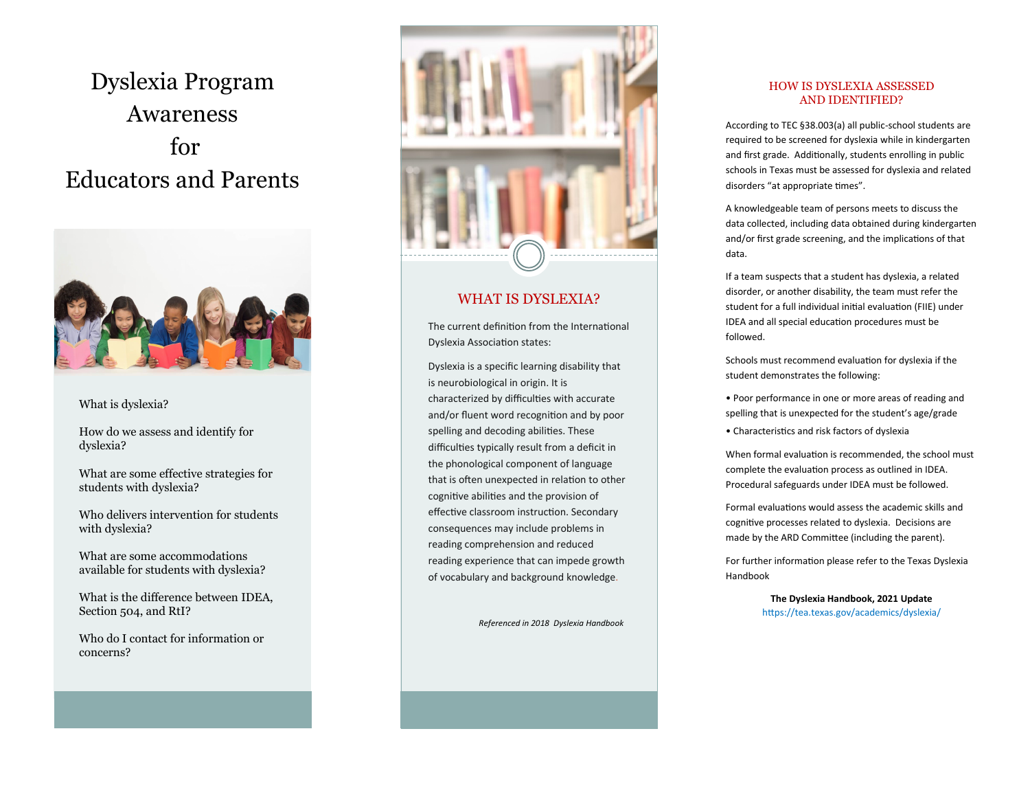# Dyslexia Program Awareness for Educators and Parents



#### What is dyslexia?

How do we assess and identify for dyslexia?

What are some effective strategies for students with dyslexia?

Who delivers intervention for students with dyslexia?

What are some accommodations available for students with dyslexia?

What is the difference between IDEA, Section 504, and RtI?

Who do I contact for information or concerns?



## WHAT IS DYSLEXIA?

The current definition from the International Dyslexia Association states:

Dyslexia is a specific learning disability that is neurobiological in origin. It is characterized by difficulties with accurate and/or fluent word recognition and by poor spelling and decoding abilities. These difficulties typically result from a deficit in the phonological component of language that is often unexpected in relation to other cognitive abilities and the provision of effective classroom instruction. Secondary consequences may include problems in reading comprehension and reduced reading experience that can impede growth of vocabulary and background knowledge.

*Referenced in 2018 Dyslexia Handbook*

### HOW IS DYSLEXIA ASSESSED AND IDENTIFIED?

According to TEC §38.003(a) all public -school students are required to be screened for dyslexia while in kindergarten and first grade. Additionally, students enrolling in public schools in Texas must be assessed for dyslexia and related disorders "at appropriate times".

A knowledgeable team of persons meets to discuss the data collected, including data obtained during kindergarten and/or first grade screening, and the implications of that data.

If a team suspects that a student has dyslexia, a related disorder, or another disability, the team must refer the student for a full individual initial evaluation (FIIE) under IDEA and all special education procedures must be followed.

Schools must recommend evaluation for dyslexia if the student demonstrates the following:

• Poor performance in one or more areas of reading and spelling that is unexpected for the student 's age/grade

• Characteristics and risk factors of dyslexia

When formal evaluation is recommended, the school must complete the evaluation process as outlined in IDEA. Procedural safeguards under IDEA must be followed.

Formal evaluations would assess the academic skills and cognitive processes related to dyslexia. Decisions are made by the ARD Committee (including the parent).

For further information please refer to the Texas Dyslexia Handbook

> **The Dyslexia Handbook, 2021 Update** https://tea.texas.gov/academics/dyslexia/